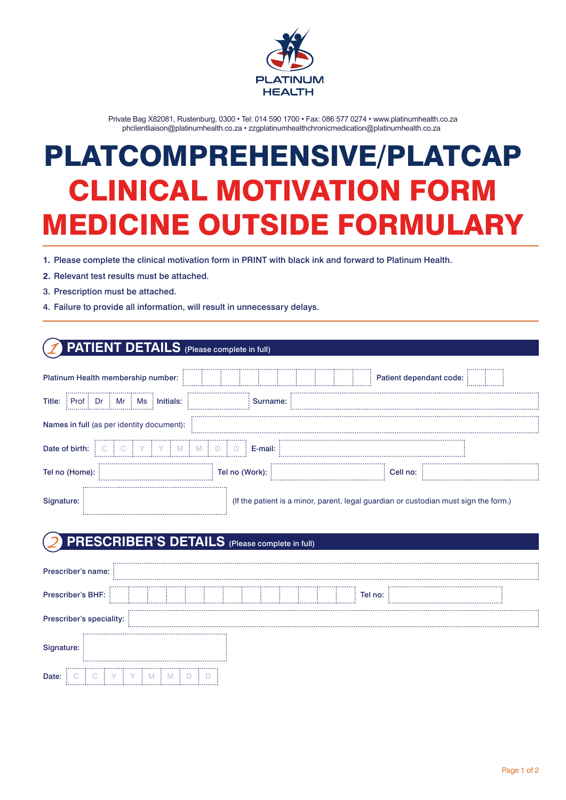

Private Bag X82081, Rustenburg, 0300 • Tel: 014 590 1700 • Fax: 086 577 0274 • www.platinumhealth.co.za phclientliaison@platinumhealth.co.za • zzgplatinumhealthchronicmedication@platinumhealth.co.za

# **CLINICAL MOTIVATION FORM MEDICINE OUTSIDE FORMULARY** PLATCOMPREHENSIVE/PLATCAP CLINICAL MOTIVATION FORM MEDICINE OUTSIDE FORMULARY

- **1.** Please complete the clinical motivation form in PRINT with black ink and forward to Platinum Health.
- **2.** Relevant test results must be attached.
- 3. Prescription must be attached.
- 4. Failure to provide all information, will result in unnecessary delays.

### **PATIENT DETAILS** (Please complete in full)

| Platinum Health membership number:                             |                | Patient dependant code:                                                              | . <b>. .</b> |
|----------------------------------------------------------------|----------------|--------------------------------------------------------------------------------------|--------------|
| Mr<br>Dr<br>Title:<br>$\vdots$ Ms<br>$:$ Prof $:$<br>Initials: | Surname:       |                                                                                      |              |
| Names in full (as per identity document):                      |                |                                                                                      |              |
| Date of birth:                                                 | E-mail:        |                                                                                      |              |
| Tel no (Home):                                                 | Tel no (Work): | Cell no:                                                                             |              |
| Signature:                                                     |                | (If the patient is a minor, parent, legal guardian or custodian must sign the form.) |              |

### **PRESCRIBER'S DETAILS** (Please complete in full)

| <b>Prescriber's name:</b> |  |  |  |  |  |  |  |  |  |         |  |  |
|---------------------------|--|--|--|--|--|--|--|--|--|---------|--|--|
| Prescriber's BHF:         |  |  |  |  |  |  |  |  |  | Tel no: |  |  |
| Prescriber's speciality:  |  |  |  |  |  |  |  |  |  |         |  |  |
| Signature:                |  |  |  |  |  |  |  |  |  |         |  |  |
| Date:<br>                 |  |  |  |  |  |  |  |  |  |         |  |  |